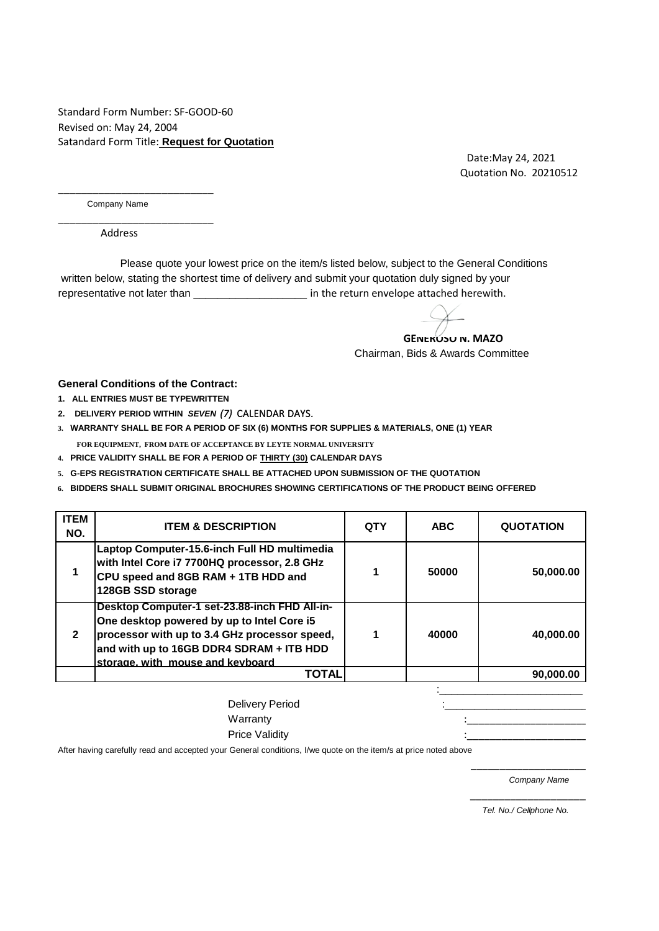Standard Form Number: SF-GOOD-60 Revised on: May 24, 2004 Satandard Form Title: **Request for Quotation**

> Date:May 24, 2021 Quotation No. 20210512

Company Name

\_\_\_\_\_\_\_\_\_\_\_\_\_\_\_\_\_\_\_\_\_\_\_\_\_\_\_

\_\_\_\_\_\_\_\_\_\_\_\_\_\_\_\_\_\_\_\_\_\_\_\_\_\_\_

Address

 written below, stating the shortest time of delivery and submit your quotation duly signed by your representative not later than \_\_\_\_\_\_\_\_\_\_\_\_\_\_\_\_\_\_\_\_\_\_\_ in the return envelope attached herewith. Please quote your lowest price on the item/s listed below, subject to the General Conditions

 Chairman, Bids & Awards Committee  **GENEROSO N. MAZO**

**General Conditions of the Contract:**

- **1. ALL ENTRIES MUST BE TYPEWRITTEN**
- **2. DELIVERY PERIOD WITHIN** *SEVEN (7)* CALENDAR DAYS.
- **3. WARRANTY SHALL BE FOR A PERIOD OF SIX (6) MONTHS FOR SUPPLIES & MATERIALS, ONE (1) YEAR**
- **FOR EQUIPMENT, FROM DATE OF ACCEPTANCE BY LEYTE NORMAL UNIVERSITY**
- **4. PRICE VALIDITY SHALL BE FOR A PERIOD OF THIRTY (30) CALENDAR DAYS**
- **5. G-EPS REGISTRATION CERTIFICATE SHALL BE ATTACHED UPON SUBMISSION OF THE QUOTATION**
- **6. BIDDERS SHALL SUBMIT ORIGINAL BROCHURES SHOWING CERTIFICATIONS OF THE PRODUCT BEING OFFERED**

| <b>ITEM</b><br>NO. | <b>ITEM &amp; DESCRIPTION</b>                                                                                                                                                                                                | <b>QTY</b> | <b>ABC</b> | <b>QUOTATION</b> |
|--------------------|------------------------------------------------------------------------------------------------------------------------------------------------------------------------------------------------------------------------------|------------|------------|------------------|
|                    | Laptop Computer-15.6-inch Full HD multimedia<br>with Intel Core i7 7700HQ processor, 2.8 GHz<br>CPU speed and 8GB RAM + 1TB HDD and<br>128GB SSD storage                                                                     |            | 50000      | 50,000.00        |
| $\mathbf{2}$       | Desktop Computer-1 set-23.88-inch FHD All-in-<br>One desktop powered by up to Intel Core i5<br>processor with up to 3.4 GHz processor speed,<br>and with up to 16GB DDR4 SDRAM + ITB HDD<br>storage, with mouse and keyboard |            | 40000      | 40.000.00        |
|                    | TOTAL                                                                                                                                                                                                                        |            |            | 90,000.00        |

| Delivery Period                                                                                                         |  |
|-------------------------------------------------------------------------------------------------------------------------|--|
| Warranty                                                                                                                |  |
| <b>Price Validity</b>                                                                                                   |  |
| After beside a conclude and and excepted some Application distance that control to the transfer reader a result of case |  |

 $\overline{\phantom{a}}$  ,  $\overline{\phantom{a}}$  ,  $\overline{\phantom{a}}$  ,  $\overline{\phantom{a}}$  ,  $\overline{\phantom{a}}$  ,  $\overline{\phantom{a}}$  ,  $\overline{\phantom{a}}$  ,  $\overline{\phantom{a}}$  ,  $\overline{\phantom{a}}$  ,  $\overline{\phantom{a}}$  ,  $\overline{\phantom{a}}$  ,  $\overline{\phantom{a}}$  ,  $\overline{\phantom{a}}$  ,  $\overline{\phantom{a}}$  ,  $\overline{\phantom{a}}$  ,  $\overline{\phantom{a}}$ 

 $\overline{\phantom{a}}$  ,  $\overline{\phantom{a}}$  ,  $\overline{\phantom{a}}$  ,  $\overline{\phantom{a}}$  ,  $\overline{\phantom{a}}$  ,  $\overline{\phantom{a}}$  ,  $\overline{\phantom{a}}$  ,  $\overline{\phantom{a}}$  ,  $\overline{\phantom{a}}$  ,  $\overline{\phantom{a}}$  ,  $\overline{\phantom{a}}$  ,  $\overline{\phantom{a}}$  ,  $\overline{\phantom{a}}$  ,  $\overline{\phantom{a}}$  ,  $\overline{\phantom{a}}$  ,  $\overline{\phantom{a}}$ 

After having carefully read and accepted your General conditions, I/we quote on the item/s at price noted above

*Company Name*

 *Tel. No./ Cellphone No.*